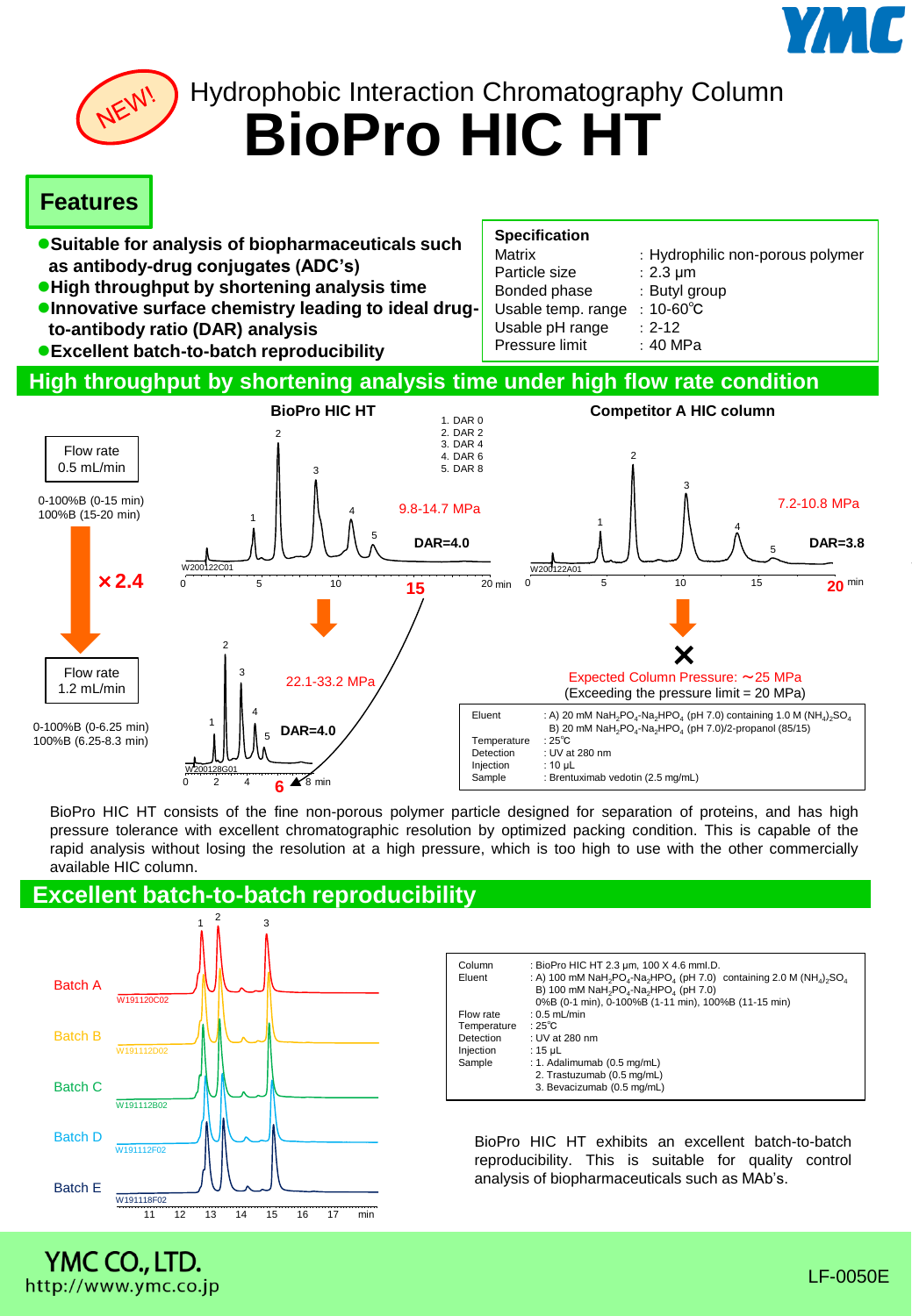



**BioPro HIC HT** Hydrophobic Interaction Chromatography Column

# **Features**

- **Suitable for analysis of biopharmaceuticals such as antibody-drug conjugates (ADC's)**
- **High throughput by shortening analysis time**
- **Innovative surface chemistry leading to ideal drugto-antibody ratio (DAR) analysis**
- **Excellent batch-to-batch reproducibility**

| <b>Specification</b> |                                  |
|----------------------|----------------------------------|
| Matrix               | : Hydrophilic non-porous polymer |
| Particle size        | $: 2.3 \mu m$                    |
| Bonded phase         | : Butyl group                    |
| Usable temp. range   | : $10 - 60^{\circ}$ C            |
| Usable pH range      | $: 2 - 12$                       |
| Pressure limit       | : 40 MPa                         |
|                      |                                  |

### **High throughput by shortening analysis time under high flow rate condition**



BioPro HIC HT consists of the fine non-porous polymer particle designed for separation of proteins, and has high pressure tolerance with excellent chromatographic resolution by optimized packing condition. This is capable of the rapid analysis without losing the resolution at a high pressure, which is too high to use with the other commercially available HIC column.

## **Excellent batch-to-batch reproducibility**



| Column<br>Eluent                                             | : BioPro HIC HT 2.3 um, 100 X 4.6 mml.D.<br>: A) 100 mM NaH <sub>2</sub> PO <sub>4</sub> -Na <sub>2</sub> HPO <sub>4</sub> (pH 7.0) containing 2.0 M (NH <sub>4</sub> ) <sub>2</sub> SO <sub>4</sub><br>B) 100 mM NaH <sub>2</sub> PO <sub>4</sub> -Na <sub>2</sub> HPO <sub>4</sub> (pH 7.0)<br>0%B (0-1 min), 0-100%B (1-11 min), 100%B (11-15 min) |
|--------------------------------------------------------------|-------------------------------------------------------------------------------------------------------------------------------------------------------------------------------------------------------------------------------------------------------------------------------------------------------------------------------------------------------|
| Flow rate<br>Temperature<br>Detection<br>Injection<br>Sample | $: 0.5$ mL/min<br>: 25 $^{\circ}$ C<br>: UV at 280 nm<br>: $15 \mu L$<br>: 1. Adalimumab (0.5 mg/mL)<br>2. Trastuzumab (0.5 mg/mL)<br>3. Bevacizumab (0.5 mg/mL)                                                                                                                                                                                      |

BioPro HIC HT exhibits an excellent batch-to-batch reproducibility. This is suitable for quality control analysis of biopharmaceuticals such as MAb's.

# YMC CO., LTD. http://www.ymc.co.jp